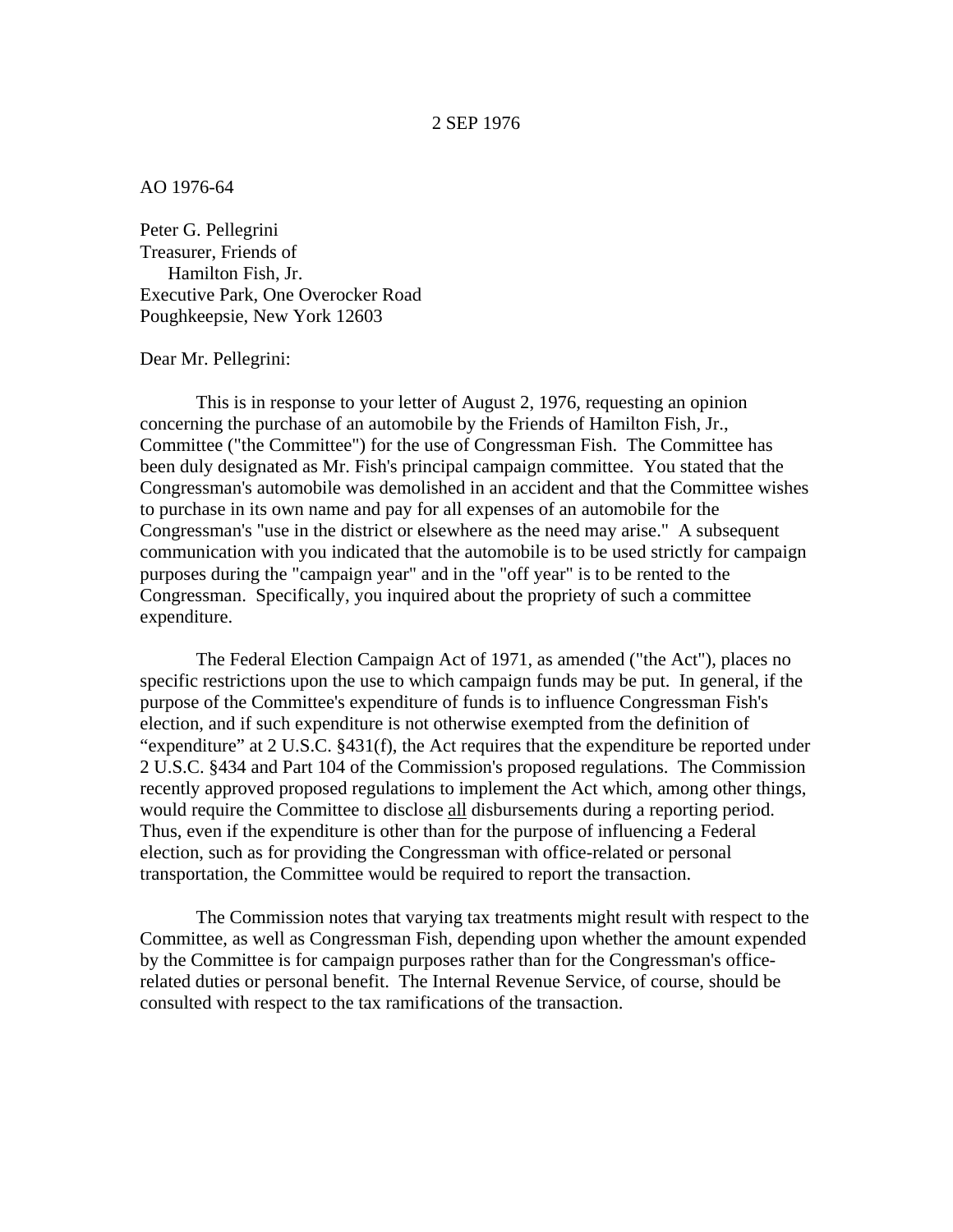## AO 1976-64

Peter G. Pellegrini Treasurer, Friends of Hamilton Fish, Jr. Executive Park, One Overocker Road Poughkeepsie, New York 12603

## Dear Mr. Pellegrini:

This is in response to your letter of August 2, 1976, requesting an opinion concerning the purchase of an automobile by the Friends of Hamilton Fish, Jr., Committee ("the Committee") for the use of Congressman Fish. The Committee has been duly designated as Mr. Fish's principal campaign committee. You stated that the Congressman's automobile was demolished in an accident and that the Committee wishes to purchase in its own name and pay for all expenses of an automobile for the Congressman's "use in the district or elsewhere as the need may arise." A subsequent communication with you indicated that the automobile is to be used strictly for campaign purposes during the "campaign year" and in the "off year" is to be rented to the Congressman. Specifically, you inquired about the propriety of such a committee expenditure.

The Federal Election Campaign Act of 1971, as amended ("the Act"), places no specific restrictions upon the use to which campaign funds may be put. In general, if the purpose of the Committee's expenditure of funds is to influence Congressman Fish's election, and if such expenditure is not otherwise exempted from the definition of "expenditure" at 2 U.S.C. §431(f), the Act requires that the expenditure be reported under 2 U.S.C. §434 and Part 104 of the Commission's proposed regulations. The Commission recently approved proposed regulations to implement the Act which, among other things, would require the Committee to disclose all disbursements during a reporting period. Thus, even if the expenditure is other than for the purpose of influencing a Federal election, such as for providing the Congressman with office-related or personal transportation, the Committee would be required to report the transaction.

The Commission notes that varying tax treatments might result with respect to the Committee, as well as Congressman Fish, depending upon whether the amount expended by the Committee is for campaign purposes rather than for the Congressman's officerelated duties or personal benefit. The Internal Revenue Service, of course, should be consulted with respect to the tax ramifications of the transaction.